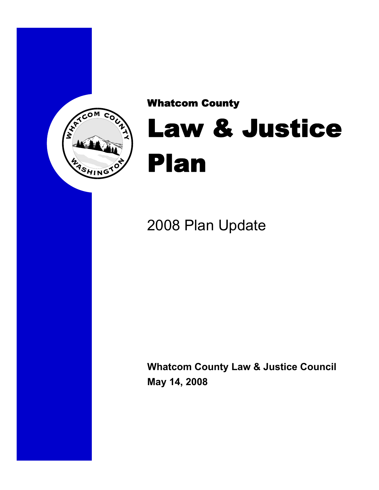

## Whatcom County

## Law & Justice Plan

## 2008 Plan Update

**Whatcom County Law & Justice Council May 14, 2008**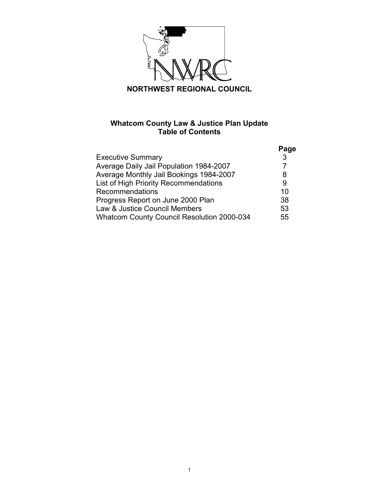

## **Whatcom County Law & Justice Plan Update Table of Contents**

|                                            | Page         |
|--------------------------------------------|--------------|
| <b>Executive Summary</b>                   | $\mathbf{3}$ |
| Average Daily Jail Population 1984-2007    |              |
| Average Monthly Jail Bookings 1984-2007    | 8            |
| List of High Priority Recommendations      | 9            |
| Recommendations                            | 10           |
| Progress Report on June 2000 Plan          | 38           |
| Law & Justice Council Members              | 53           |
| Whatcom County Council Resolution 2000-034 | 55           |
|                                            |              |